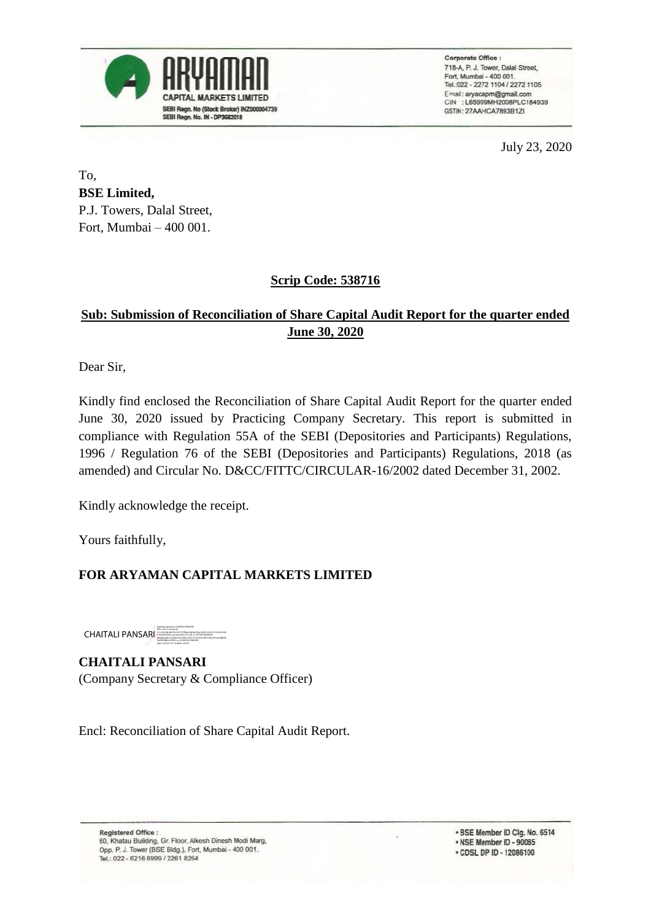

Corporate Office : 718-A, P. J. Tower, Dalal Street, Fort, Mumbai - 400 001. Tel: 022 - 2272 1104 / 2272 1105 Email: aryacapm@gmail.com CIN : L65999MH2008PLC184939 GSTIN: 27AAHCA7893B1ZI

July 23, 2020

To, **BSE Limited,** P.J. Towers, Dalal Street, Fort, Mumbai – 400 001.

#### **Scrip Code: 538716**

## **Sub: Submission of Reconciliation of Share Capital Audit Report for the quarter ended June 30, 2020**

Dear Sir,

Kindly find enclosed the Reconciliation of Share Capital Audit Report for the quarter ended June 30, 2020 issued by Practicing Company Secretary. This report is submitted in compliance with Regulation 55A of the SEBI (Depositories and Participants) Regulations, 1996 / Regulation 76 of the SEBI (Depositories and Participants) Regulations, 2018 (as amended) and Circular No. D&CC/FITTC/CIRCULAR-16/2002 dated December 31, 2002.

Kindly acknowledge the receipt.

Yours faithfully,

## **FOR ARYAMAN CAPITAL MARKETS LIMITED**

CHAITALI PANSARI Digitally signed by CHAITALI PANSARI DN: c=IN, o=Personal, 2.5.4.20=0bc0b72b1c51973f9ba16b5de03bc229215c954157c3265c546 f1da29fa40a45, postalCode=231218, st=UTTAR PRADESH, serialNumber=bd4fc32ac39bcc9d1a1012f16a2180572be2c35aefd8028 3e268138fac392f5f, cn=CHAITALI PANSARI Date: 2020.07.23 14:38:06 +05'30'

**CHAITALI PANSARI** (Company Secretary & Compliance Officer)

Encl: Reconciliation of Share Capital Audit Report.

Registered Office : 60, Khatau Building, Gr. Floor, Alkesh Dinesh Modi Marg, Opp. P. J. Tower (BSE Bldg.), Fort, Mumbai - 400 001. Tel.: 022 - 6216 6999 / 2261 8264

. BSE Member ID Clg. No. 6514 . NSE Member ID - 90085 · CDSL DP ID - 12086100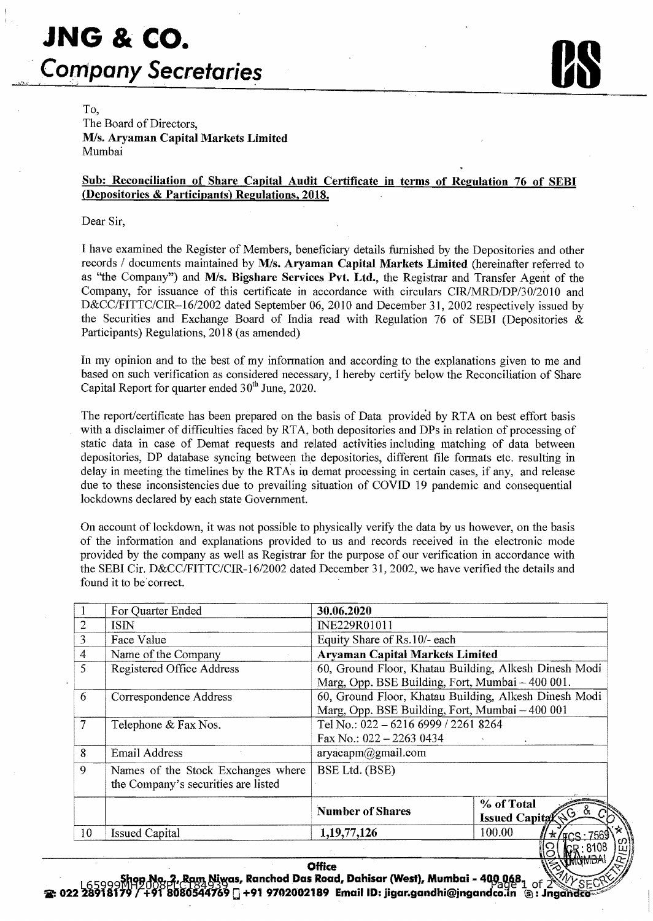# **JNG & co. Company Secretaries**

To,

The Board of Directors, M/s. Aryaman Capital Markets Limited Mumbai

#### Sub: Reconciliation of Share Capital Audit Certificate in terms of Regulation 76 of SEBI (Depositories & Participants) Regulations, 2018.

Dear Sir,

I have examined the Register of Members, beneficiary details furnished by the Depositories and other records / documents maintained by M/s. Aryaman Capital Markets Limited (hereinafter referred to as "the Company") and M/s. Bigshare Services Pvt. Ltd., the Registrar and Transfer Agent of the Company, for issuance of this certificate in accordance with circulars CIR/MRD/DP/30/2010 and D&CC/FITTC/CIR-16/2002 dated September 06, 2010 and December 31, 2002 respectively issued by the Securities and Exchange Board of India read with Regulation 76 of SEBI (Depositories & Participants) Regulations, 2018 (as amended)

In my opinion and to the best of my information and according to the explanations given to me and based on such verification as considered necessary, I hereby certify below the Reconciliation of Share Capital Report for quarter ended 30<sup>th</sup> June, 2020.

The report/certificate has been prepared on the basis of Data provide'd by RTA on best effort basis with a disclaimer of difficulties faced by RTA, both depositories and DPs in relation of processing of static data in case of Demat requests and related activities including matching of data between depositories, DP database syncing between the depositories, different file formats etc. resulting in delay in meeting the time lines by the RTAs in demat processing in certain cases, if any, and release due to these inconsistencies due to prevailing situation of COVID 19 pandemic and consequential lockdowns declared by each state Government.

On account of lockdown, it was not possible to physically verify the data by us however, on the basis of the information and explanations provided to us and records received in the electronic mode provided by the company as well as Registrar for the purpose of our verification in accordance with the SEBI Cir. D&CC/FITTC/CIR-16/2002 dated December 31, 2002, we have verified the details and found it to be correct.

|                | For Quarter Ended                   | 30.06.2020                                                                                                |                                             |  |  |  |
|----------------|-------------------------------------|-----------------------------------------------------------------------------------------------------------|---------------------------------------------|--|--|--|
| $\overline{2}$ | ISIN                                | INE229R01011                                                                                              |                                             |  |  |  |
| $\overline{3}$ | Face Value                          | Equity Share of Rs.10/- each                                                                              |                                             |  |  |  |
| $\overline{4}$ | Name of the Company                 | <b>Aryaman Capital Markets Limited</b>                                                                    |                                             |  |  |  |
| 5              | Registered Office Address           | 60, Ground Floor, Khatau Building, Alkesh Dinesh Modi<br>Marg, Opp. BSE Building, Fort, Mumbai - 400 001. |                                             |  |  |  |
|                |                                     |                                                                                                           |                                             |  |  |  |
| 6              | Correspondence Address              | 60, Ground Floor, Khatau Building, Alkesh Dinesh Modi                                                     |                                             |  |  |  |
|                |                                     | Marg, Opp. BSE Building, Fort, Mumbai - 400 001                                                           |                                             |  |  |  |
| $\overline{7}$ | Telephone & Fax Nos.                | Tel No.: 022 - 6216 6999 / 2261 8264                                                                      |                                             |  |  |  |
|                |                                     | Fax No.: $022 - 22630434$                                                                                 |                                             |  |  |  |
| 8              | Email Address                       | aryacapm@gmail.com                                                                                        |                                             |  |  |  |
| 9              | Names of the Stock Exchanges where  | BSE Ltd. (BSE)                                                                                            |                                             |  |  |  |
|                | the Company's securities are listed |                                                                                                           |                                             |  |  |  |
|                |                                     | <b>Number of Shares</b>                                                                                   | % of Total                                  |  |  |  |
|                |                                     |                                                                                                           | Issued Capita (Sold<br>CD                   |  |  |  |
| 10             | <b>Issued Capital</b>               | 1,19,77,126                                                                                               | 100.00<br>$\star$ / $\text{tCS} \cdot 7569$ |  |  |  |
|                |                                     |                                                                                                           | $\mathbb{Q}$<br>$R$ $R \cdot 8108$          |  |  |  |

,~~~Ck~,~m~as, **RanchodDas** Road~ **Dahisar** (West)~ **Mumbai-** 4CWa~81 of 2 ~I/!' **'Ii': 022** )i~1gf7~ 1+f'ribao-~4m~ 0 **+91 9702002189 EmaillD: jigar.gandhi@jngandco.m** tID: **Jnga**